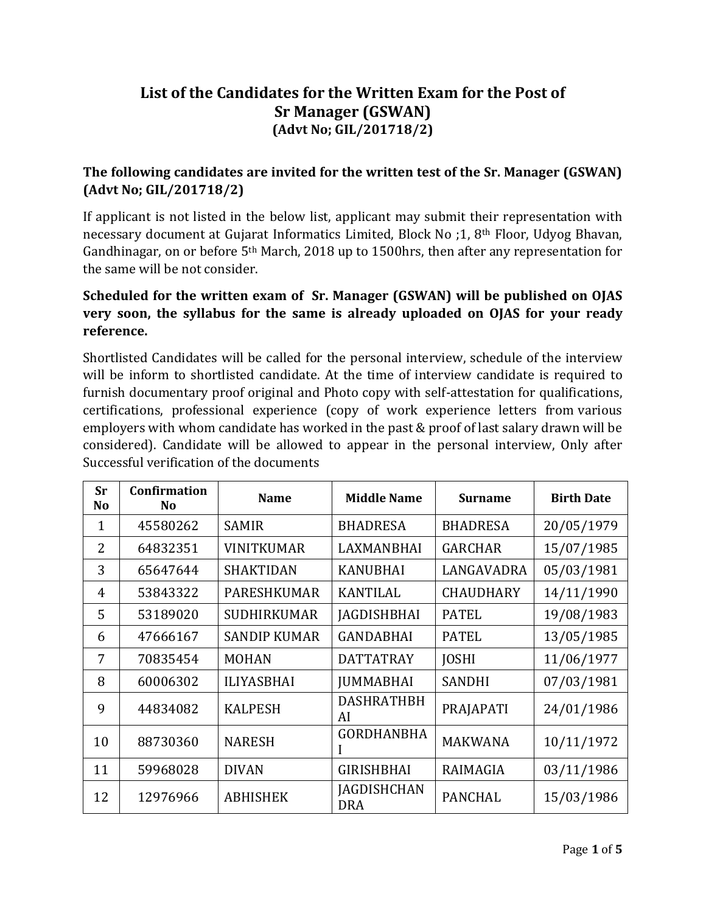## **List of the Candidates for the Written Exam for the Post of Sr Manager (GSWAN) (Advt No; GIL/201718/2)**

## **The following candidates are invited for the written test of the Sr. Manager (GSWAN) (Advt No; GIL/201718/2)**

If applicant is not listed in the below list, applicant may submit their representation with necessary document at Gujarat Informatics Limited, Block No ;1, 8th Floor, Udyog Bhavan, Gandhinagar, on or before 5th March, 2018 up to 1500hrs, then after any representation for the same will be not consider.

## **Scheduled for the written exam of Sr. Manager (GSWAN) will be published on OJAS very soon, the syllabus for the same is already uploaded on OJAS for your ready reference.**

Shortlisted Candidates will be called for the personal interview, schedule of the interview will be inform to shortlisted candidate. At the time of interview candidate is required to furnish documentary proof original and Photo copy with self-attestation for qualifications, certifications, professional experience (copy of work experience letters from various employers with whom candidate has worked in the past & proof of last salary drawn will be considered). Candidate will be allowed to appear in the personal interview, Only after Successful verification of the documents

| Sr<br>No | Confirmation<br>N <sub>o</sub> | <b>Name</b>         | <b>Middle Name</b>               | <b>Surname</b>   | <b>Birth Date</b> |
|----------|--------------------------------|---------------------|----------------------------------|------------------|-------------------|
| 1        | 45580262                       | <b>SAMIR</b>        | <b>BHADRESA</b>                  | <b>BHADRESA</b>  | 20/05/1979        |
| 2        | 64832351                       | <b>VINITKUMAR</b>   | LAXMANBHAI                       | <b>GARCHAR</b>   | 15/07/1985        |
| 3        | 65647644                       | <b>SHAKTIDAN</b>    | <b>KANUBHAI</b>                  | LANGAVADRA       | 05/03/1981        |
| 4        | 53843322                       | <b>PARESHKUMAR</b>  | <b>KANTILAL</b>                  | <b>CHAUDHARY</b> | 14/11/1990        |
| 5        | 53189020                       | <b>SUDHIRKUMAR</b>  | <b>JAGDISHBHAI</b>               | <b>PATEL</b>     | 19/08/1983        |
| 6        | 47666167                       | <b>SANDIP KUMAR</b> | <b>GANDABHAI</b>                 | <b>PATEL</b>     | 13/05/1985        |
| 7        | 70835454                       | <b>MOHAN</b>        | <b>DATTATRAY</b>                 | <b>JOSHI</b>     | 11/06/1977        |
| 8        | 60006302                       | <b>ILIYASBHAI</b>   | <b>JUMMABHAI</b>                 | <b>SANDHI</b>    | 07/03/1981        |
| 9        | 44834082                       | <b>KALPESH</b>      | <b>DASHRATHBH</b><br>AI          | PRAJAPATI        | 24/01/1986        |
| 10       | 88730360                       | <b>NARESH</b>       | <b>GORDHANBHA</b>                | <b>MAKWANA</b>   | 10/11/1972        |
| 11       | 59968028                       | <b>DIVAN</b>        | <b>GIRISHBHAI</b>                | RAIMAGIA         | 03/11/1986        |
| 12       | 12976966                       | <b>ABHISHEK</b>     | <b>JAGDISHCHAN</b><br><b>DRA</b> | <b>PANCHAL</b>   | 15/03/1986        |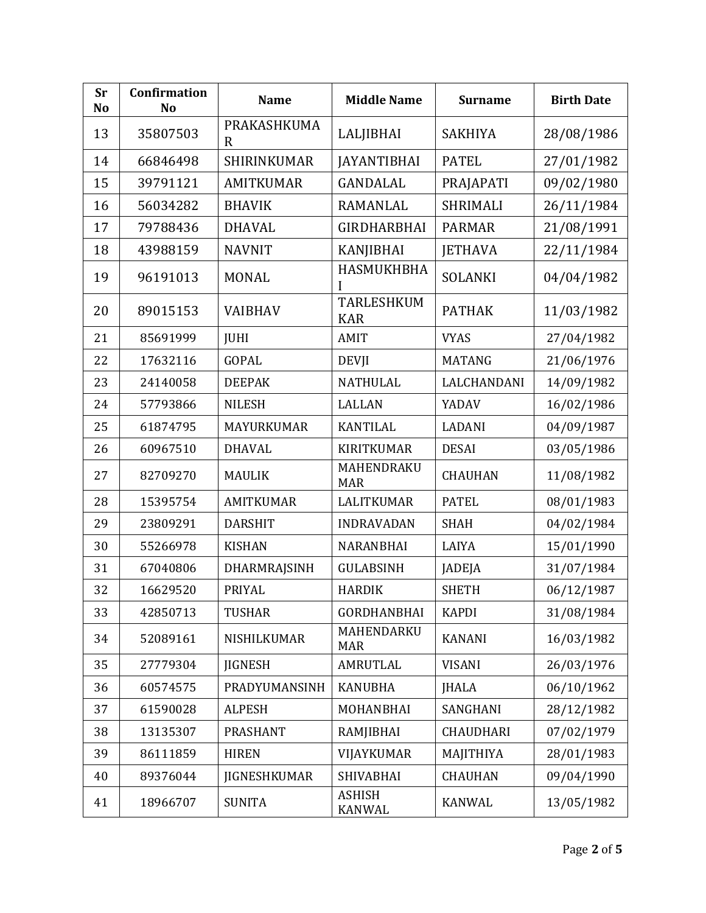| <b>Sr</b><br><b>No</b> | <b>Confirmation</b><br>No | <b>Name</b>                       | <b>Middle Name</b>              | <b>Surname</b>   | <b>Birth Date</b> |
|------------------------|---------------------------|-----------------------------------|---------------------------------|------------------|-------------------|
| 13                     | 35807503                  | <b>PRAKASHKUMA</b><br>$\mathbf R$ | LALJIBHAI                       | <b>SAKHIYA</b>   | 28/08/1986        |
| 14                     | 66846498                  | SHIRINKUMAR                       | <b>JAYANTIBHAI</b>              | <b>PATEL</b>     | 27/01/1982        |
| 15                     | 39791121                  | <b>AMITKUMAR</b>                  | <b>GANDALAL</b>                 | PRAJAPATI        | 09/02/1980        |
| 16                     | 56034282                  | <b>BHAVIK</b>                     | <b>RAMANLAL</b>                 | <b>SHRIMALI</b>  | 26/11/1984        |
| 17                     | 79788436                  | <b>DHAVAL</b>                     | <b>GIRDHARBHAI</b>              | <b>PARMAR</b>    | 21/08/1991        |
| 18                     | 43988159                  | <b>NAVNIT</b>                     | <b>KANJIBHAI</b>                | <b>JETHAVA</b>   | 22/11/1984        |
| 19                     | 96191013                  | <b>MONAL</b>                      | HASMUKHBHA                      | <b>SOLANKI</b>   | 04/04/1982        |
| 20                     | 89015153                  | <b>VAIBHAV</b>                    | <b>TARLESHKUM</b><br><b>KAR</b> | <b>PATHAK</b>    | 11/03/1982        |
| 21                     | 85691999                  | <b>JUHI</b>                       | <b>AMIT</b>                     | <b>VYAS</b>      | 27/04/1982        |
| 22                     | 17632116                  | <b>GOPAL</b>                      | <b>DEVJI</b>                    | <b>MATANG</b>    | 21/06/1976        |
| 23                     | 24140058                  | <b>DEEPAK</b>                     | <b>NATHULAL</b>                 | LALCHANDANI      | 14/09/1982        |
| 24                     | 57793866                  | <b>NILESH</b>                     | <b>LALLAN</b>                   | YADAV            | 16/02/1986        |
| 25                     | 61874795                  | MAYURKUMAR                        | <b>KANTILAL</b>                 | LADANI           | 04/09/1987        |
| 26                     | 60967510                  | <b>DHAVAL</b>                     | <b>KIRITKUMAR</b>               | <b>DESAI</b>     | 03/05/1986        |
| 27                     | 82709270                  | <b>MAULIK</b>                     | MAHENDRAKU<br><b>MAR</b>        | <b>CHAUHAN</b>   | 11/08/1982        |
| 28                     | 15395754                  | <b>AMITKUMAR</b>                  | <b>LALITKUMAR</b>               | <b>PATEL</b>     | 08/01/1983        |
| 29                     | 23809291                  | <b>DARSHIT</b>                    | <b>INDRAVADAN</b>               | <b>SHAH</b>      | 04/02/1984        |
| 30                     | 55266978                  | <b>KISHAN</b>                     | NARANBHAI                       | LAIYA            | 15/01/1990        |
| 31                     | 67040806                  | DHARMRAJSINH                      | <b>GULABSINH</b>                | <b>JADEJA</b>    | 31/07/1984        |
| 32                     | 16629520                  | PRIYAL                            | <b>HARDIK</b>                   | <b>SHETH</b>     | 06/12/1987        |
| 33                     | 42850713                  | <b>TUSHAR</b>                     | <b>GORDHANBHAI</b>              | <b>KAPDI</b>     | 31/08/1984        |
| 34                     | 52089161                  | NISHILKUMAR                       | MAHENDARKU<br><b>MAR</b>        | <b>KANANI</b>    | 16/03/1982        |
| 35                     | 27779304                  | <b>JIGNESH</b>                    | <b>AMRUTLAL</b>                 | <b>VISANI</b>    | 26/03/1976        |
| 36                     | 60574575                  | PRADYUMANSINH                     | <b>KANUBHA</b>                  | JHALA            | 06/10/1962        |
| 37                     | 61590028                  | <b>ALPESH</b>                     | MOHANBHAI                       | SANGHANI         | 28/12/1982        |
| 38                     | 13135307                  | <b>PRASHANT</b>                   | RAMJIBHAI                       | <b>CHAUDHARI</b> | 07/02/1979        |
| 39                     | 86111859                  | <b>HIREN</b>                      | VIJAYKUMAR                      | MAJITHIYA        | 28/01/1983        |
| 40                     | 89376044                  | JIGNESHKUMAR                      | <b>SHIVABHAI</b>                | <b>CHAUHAN</b>   | 09/04/1990        |
| 41                     | 18966707                  | <b>SUNITA</b>                     | <b>ASHISH</b><br>KANWAL         | <b>KANWAL</b>    | 13/05/1982        |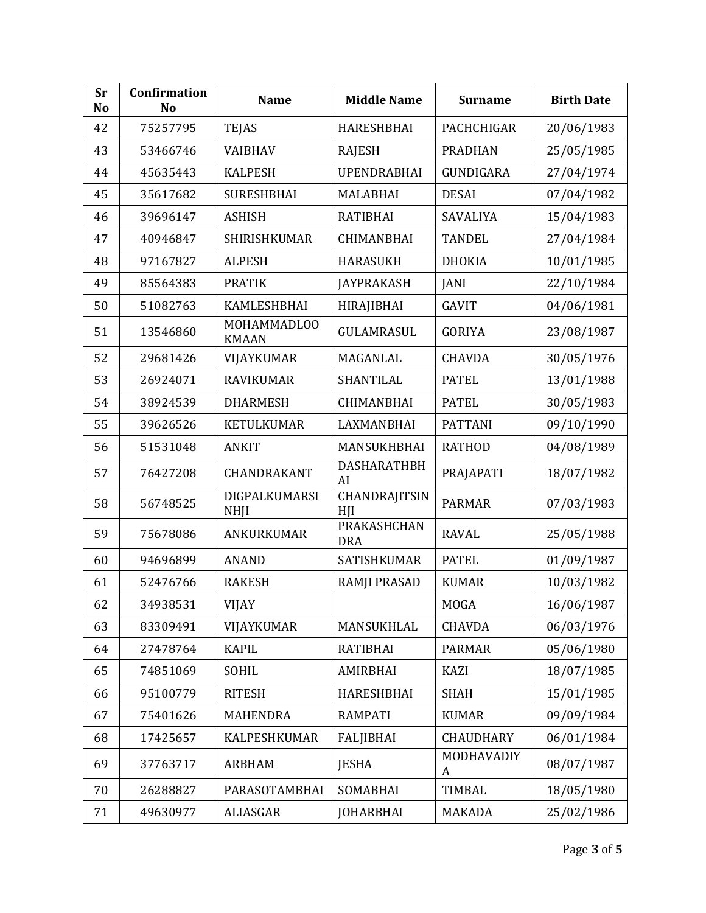| <b>Sr</b><br><b>No</b> | Confirmation<br>N <sub>o</sub> | <b>Name</b>                  | <b>Middle Name</b>        | <b>Surname</b>   | <b>Birth Date</b> |
|------------------------|--------------------------------|------------------------------|---------------------------|------------------|-------------------|
| 42                     | 75257795                       | <b>TEJAS</b>                 | <b>HARESHBHAI</b>         | PACHCHIGAR       | 20/06/1983        |
| 43                     | 53466746                       | <b>VAIBHAV</b>               | <b>RAJESH</b>             | <b>PRADHAN</b>   | 25/05/1985        |
| 44                     | 45635443                       | <b>KALPESH</b>               | <b>UPENDRABHAI</b>        | GUNDIGARA        | 27/04/1974        |
| 45                     | 35617682                       | <b>SURESHBHAI</b>            | <b>MALABHAI</b>           | <b>DESAI</b>     | 07/04/1982        |
| 46                     | 39696147                       | <b>ASHISH</b>                | <b>RATIBHAI</b>           | SAVALIYA         | 15/04/1983        |
| 47                     | 40946847                       | <b>SHIRISHKUMAR</b>          | <b>CHIMANBHAI</b>         | <b>TANDEL</b>    | 27/04/1984        |
| 48                     | 97167827                       | <b>ALPESH</b>                | <b>HARASUKH</b>           | <b>DHOKIA</b>    | 10/01/1985        |
| 49                     | 85564383                       | <b>PRATIK</b>                | <b>JAYPRAKASH</b>         | <b>JANI</b>      | 22/10/1984        |
| 50                     | 51082763                       | <b>KAMLESHBHAI</b>           | HIRAJIBHAI                | <b>GAVIT</b>     | 04/06/1981        |
| 51                     | 13546860                       | MOHAMMADLOO<br><b>KMAAN</b>  | GULAMRASUL                | <b>GORIYA</b>    | 23/08/1987        |
| 52                     | 29681426                       | VIJAYKUMAR                   | MAGANLAL                  | <b>CHAVDA</b>    | 30/05/1976        |
| 53                     | 26924071                       | <b>RAVIKUMAR</b>             | SHANTILAL                 | <b>PATEL</b>     | 13/01/1988        |
| 54                     | 38924539                       | <b>DHARMESH</b>              | <b>CHIMANBHAI</b>         | <b>PATEL</b>     | 30/05/1983        |
| 55                     | 39626526                       | <b>KETULKUMAR</b>            | LAXMANBHAI                | <b>PATTANI</b>   | 09/10/1990        |
| 56                     | 51531048                       | <b>ANKIT</b>                 | MANSUKHBHAI               | <b>RATHOD</b>    | 04/08/1989        |
| 57                     | 76427208                       | CHANDRAKANT                  | <b>DASHARATHBH</b><br>AI  | PRAJAPATI        | 18/07/1982        |
| 58                     | 56748525                       | DIGPALKUMARSI<br><b>NHJI</b> | CHANDRAJITSIN<br>HII      | <b>PARMAR</b>    | 07/03/1983        |
| 59                     | 75678086                       | ANKURKUMAR                   | PRAKASHCHAN<br><b>DRA</b> | <b>RAVAL</b>     | 25/05/1988        |
| 60                     | 94696899                       | <b>ANAND</b>                 | SATISHKUMAR               | <b>PATEL</b>     | 01/09/1987        |
| 61                     | 52476766                       | <b>RAKESH</b>                | <b>RAMJI PRASAD</b>       | <b>KUMAR</b>     | 10/03/1982        |
| 62                     | 34938531                       | <b>VIJAY</b>                 |                           | <b>MOGA</b>      | 16/06/1987        |
| 63                     | 83309491                       | VIJAYKUMAR                   | MANSUKHLAL                | <b>CHAVDA</b>    | 06/03/1976        |
| 64                     | 27478764                       | <b>KAPIL</b>                 | <b>RATIBHAI</b>           | <b>PARMAR</b>    | 05/06/1980        |
| 65                     | 74851069                       | SOHIL                        | <b>AMIRBHAI</b>           | <b>KAZI</b>      | 18/07/1985        |
| 66                     | 95100779                       | <b>RITESH</b>                | HARESHBHAI                | <b>SHAH</b>      | 15/01/1985        |
| 67                     | 75401626                       | MAHENDRA                     | <b>RAMPATI</b>            | <b>KUMAR</b>     | 09/09/1984        |
| 68                     | 17425657                       | <b>KALPESHKUMAR</b>          | <b>FALJIBHAI</b>          | <b>CHAUDHARY</b> | 06/01/1984        |
| 69                     | 37763717                       | <b>ARBHAM</b>                | <b>JESHA</b>              | MODHAVADIY<br>A  | 08/07/1987        |
| 70                     | 26288827                       | PARASOTAMBHAI                | SOMABHAI                  | <b>TIMBAL</b>    | 18/05/1980        |
| 71                     | 49630977                       | ALIASGAR                     | <b>JOHARBHAI</b>          | MAKADA           | 25/02/1986        |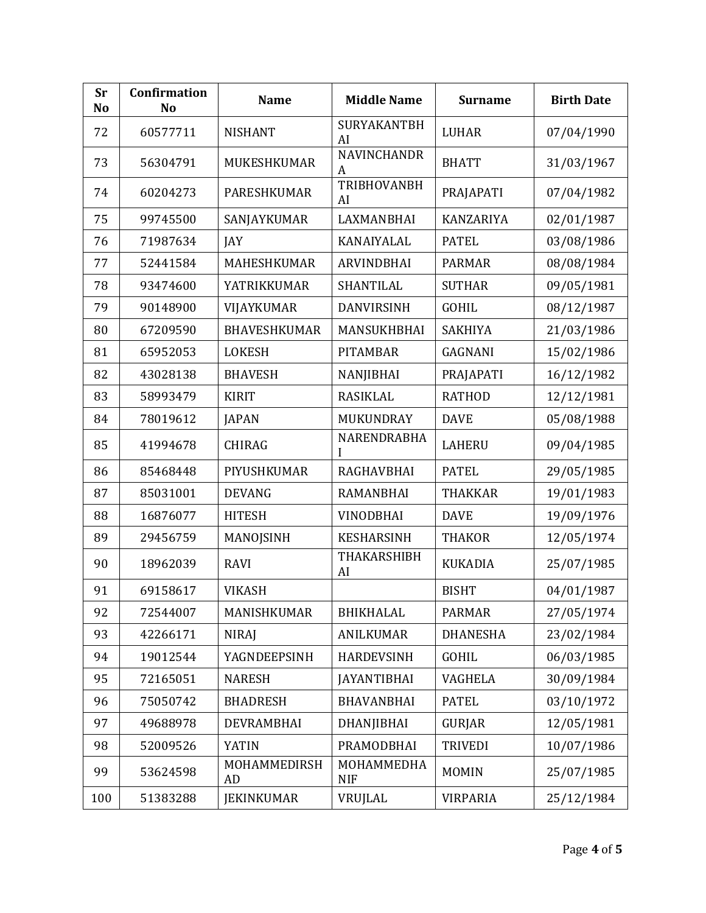| <b>Sr</b><br><b>No</b> | Confirmation<br>N <sub>o</sub> | <b>Name</b>         | <b>Middle Name</b>       | <b>Surname</b>   | <b>Birth Date</b> |
|------------------------|--------------------------------|---------------------|--------------------------|------------------|-------------------|
| 72                     | 60577711                       | <b>NISHANT</b>      | SURYAKANTBH<br>AI        | <b>LUHAR</b>     | 07/04/1990        |
| 73                     | 56304791                       | MUKESHKUMAR         | <b>NAVINCHANDR</b><br>A  | <b>BHATT</b>     | 31/03/1967        |
| 74                     | 60204273                       | <b>PARESHKUMAR</b>  | <b>TRIBHOVANBH</b><br>AI | PRAJAPATI        | 07/04/1982        |
| 75                     | 99745500                       | SANJAYKUMAR         | <b>LAXMANBHAI</b>        | <b>KANZARIYA</b> | 02/01/1987        |
| 76                     | 71987634                       | JAY                 | KANAIYALAL               | <b>PATEL</b>     | 03/08/1986        |
| 77                     | 52441584                       | MAHESHKUMAR         | <b>ARVINDBHAI</b>        | <b>PARMAR</b>    | 08/08/1984        |
| 78                     | 93474600                       | YATRIKKUMAR         | SHANTILAL                | <b>SUTHAR</b>    | 09/05/1981        |
| 79                     | 90148900                       | VIJAYKUMAR          | <b>DANVIRSINH</b>        | <b>GOHIL</b>     | 08/12/1987        |
| 80                     | 67209590                       | <b>BHAVESHKUMAR</b> | MANSUKHBHAI              | <b>SAKHIYA</b>   | 21/03/1986        |
| 81                     | 65952053                       | <b>LOKESH</b>       | <b>PITAMBAR</b>          | GAGNANI          | 15/02/1986        |
| 82                     | 43028138                       | <b>BHAVESH</b>      | NANJIBHAI                | PRAJAPATI        | 16/12/1982        |
| 83                     | 58993479                       | <b>KIRIT</b>        | <b>RASIKLAL</b>          | <b>RATHOD</b>    | 12/12/1981        |
| 84                     | 78019612                       | <b>JAPAN</b>        | MUKUNDRAY                | <b>DAVE</b>      | 05/08/1988        |
| 85                     | 41994678                       | <b>CHIRAG</b>       | NARENDRABHA<br>I         | <b>LAHERU</b>    | 09/04/1985        |
| 86                     | 85468448                       | PIYUSHKUMAR         | <b>RAGHAVBHAI</b>        | <b>PATEL</b>     | 29/05/1985        |
| 87                     | 85031001                       | <b>DEVANG</b>       | <b>RAMANBHAI</b>         | <b>THAKKAR</b>   | 19/01/1983        |
| 88                     | 16876077                       | <b>HITESH</b>       | VINODBHAI                | <b>DAVE</b>      | 19/09/1976        |
| 89                     | 29456759                       | MANOJSINH           | <b>KESHARSINH</b>        | <b>THAKOR</b>    | 12/05/1974        |
| 90                     | 18962039                       | <b>RAVI</b>         | THAKARSHIBH<br>AI        | <b>KUKADIA</b>   | 25/07/1985        |
| 91                     | 69158617                       | <b>VIKASH</b>       |                          | <b>BISHT</b>     | 04/01/1987        |
| 92                     | 72544007                       | MANISHKUMAR         | <b>BHIKHALAL</b>         | <b>PARMAR</b>    | 27/05/1974        |
| 93                     | 42266171                       | <b>NIRAJ</b>        | <b>ANILKUMAR</b>         | <b>DHANESHA</b>  | 23/02/1984        |
| 94                     | 19012544                       | YAGNDEEPSINH        | <b>HARDEVSINH</b>        | <b>GOHIL</b>     | 06/03/1985        |
| 95                     | 72165051                       | <b>NARESH</b>       | <b>JAYANTIBHAI</b>       | <b>VAGHELA</b>   | 30/09/1984        |
| 96                     | 75050742                       | <b>BHADRESH</b>     | <b>BHAVANBHAI</b>        | <b>PATEL</b>     | 03/10/1972        |
| 97                     | 49688978                       | <b>DEVRAMBHAI</b>   | DHANJIBHAI               | <b>GURJAR</b>    | 12/05/1981        |
| 98                     | 52009526                       | <b>YATIN</b>        | PRAMODBHAI               | <b>TRIVEDI</b>   | 10/07/1986        |
| 99                     | 53624598                       | MOHAMMEDIRSH<br>AD  | MOHAMMEDHA<br><b>NIF</b> | <b>MOMIN</b>     | 25/07/1985        |
| 100                    | 51383288                       | <b>JEKINKUMAR</b>   | VRUJLAL                  | <b>VIRPARIA</b>  | 25/12/1984        |